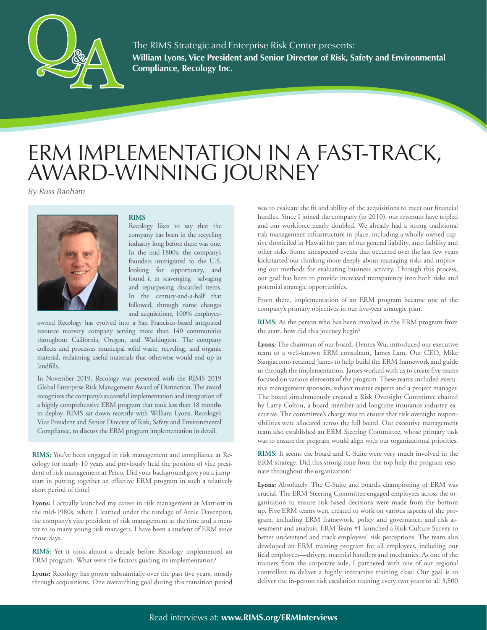

**William Lyons, Vice President and Senior Director of Risk, Safety and Environmental Compliance, Recology Inc.** The RIMS Strategic and Enterprise Risk Center presents:

## ERM IMPLEMENTATION IN A FAST-TRACK, AWARD-WINNING JOURNEY

*By Russ Banham*



## **RIMS**

Recology likes to say that the company has been in the recycling industry long before there was one. In the mid-1800s, the company's founders immigrated to the U.S. looking for opportunity, and found it in scavenging—salvaging and repurposing discarded items. In the century-and-a-half that followed, through name changes and acquisitions, 100% employee-

owned Recology has evolved into a San Francisco-based integrated resource recovery company serving more than 140 communities throughout California, Oregon, and Washington. The company collects and processes municipal solid waste, recycling, and organic material, reclaiming useful materials that otherwise would end up in landfills.

In November 2019, Recology was presented with the RIMS 2019 Global Enterprise Risk Management Award of Distinction. The award recognizes the company's successful implementation and integration of a highly comprehensive ERM program that took less than 18 months to deploy. RIMS sat down recently with William Lyons, Recology's Vice President and Senior Director of Risk, Safety and Environmental Compliance, to discuss the ERM program implementation in detail.

**RIMS:** You've been engaged in risk management and compliance at Recology for nearly 10 years and previously held the position of vice president of risk management at Petco. Did your background give you a jumpstart in putting together an effective ERM program in such a relatively short period of time?

**Lyons:** I actually launched my career in risk management at Marriott in the mid-1980s, where I learned under the tutelage of Arnie Davenport, the company's vice president of risk management at the time and a mentor to so many young risk managers. I have been a student of ERM since those days.

**RIMS:** Yet it took almost a decade before Recology implemented an ERM program. What were the factors guiding its implementation?

**Lyons:** Recology has grown substantially over the past five years, mostly through acquisitions. One overarching goal during this transition period was to evaluate the fit and ability of the acquisitions to meet our financial hurdles. Since I joined the company (in 2010), our revenues have tripled and our workforce nearly doubled. We already had a strong traditional risk management infrastructure in place, including a wholly-owned captive domiciled in Hawaii for part of our general liability, auto liability and other risks. Some unexpected events that occurred over the last few years kickstarted our thinking more deeply about managing risks and improving our methods for evaluating business activity. Through this process, our goal has been to provide increased transparency into both risks and potential strategic opportunities.

From there, implementation of an ERM program became one of the company's primary objectives in our five-year strategic plan.

**RIMS:** As the person who has been involved in the ERM program from the start, how did this journey begin?

**Lyons:** The chairman of our board, Dennis Wu, introduced our executive team to a well-known ERM consultant, James Lam. Our CEO, Mike Sangiacomo retained James to help build the ERM framework and guide us through the implementation. James worked with us to create five teams focused on various elements of the program. These teams included executive management sponsors, subject matter experts and a project manager. The board simultaneously created a Risk Oversight Committee chaired by Larry Colton, a board member and longtime insurance industry executive. The committee's charge was to ensure that risk oversight responsibilities were allocated across the full board. Our executive management team also established an ERM Steering Committee, whose primary task was to ensure the program would align with our organizational priorities.

**RIMS:** It seems the board and C-Suite were very much involved in the ERM strategy. Did this strong tone from the top help the program resonate throughout the organization?

**Lyons:** Absolutely. The C-Suite and board's championing of ERM was crucial. The ERM Steering Committee engaged employees across the organization to ensure risk-based decisions were made from the bottom up. Five ERM teams were created to work on various aspects of the program, including ERM framework, policy and governance, and risk assessment and analysis. ERM Team #1 launched a Risk Culture Survey to better understand and track employees' risk perceptions. The team also developed an ERM training program for all employees, including our field employees—drivers, material handlers and mechanics. As one of the trainers from the corporate side, I partnered with one of our regional controllers to deliver a highly interactive training class. Our goal is to deliver the in-person risk escalation training every two years to all 3,800